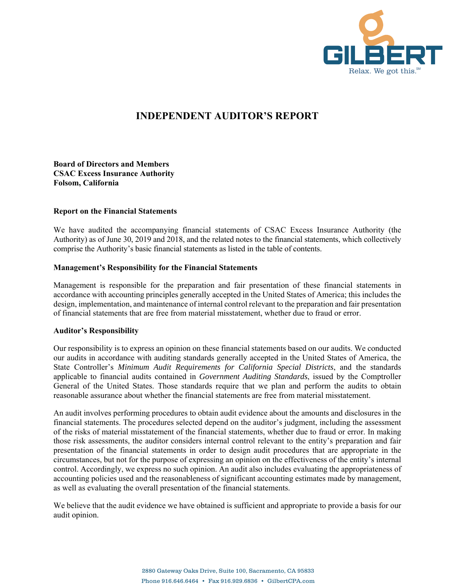

# **INDEPENDENT AUDITOR'S REPORT**

## **Board of Directors and Members CSAC Excess Insurance Authority Folsom, California**

#### **Report on the Financial Statements**

We have audited the accompanying financial statements of CSAC Excess Insurance Authority (the Authority) as of June 30, 2019 and 2018, and the related notes to the financial statements, which collectively comprise the Authority's basic financial statements as listed in the table of contents.

#### **Management's Responsibility for the Financial Statements**

Management is responsible for the preparation and fair presentation of these financial statements in accordance with accounting principles generally accepted in the United States of America; this includes the design, implementation, and maintenance of internal control relevant to the preparation and fair presentation of financial statements that are free from material misstatement, whether due to fraud or error.

#### **Auditor's Responsibility**

Our responsibility is to express an opinion on these financial statements based on our audits. We conducted our audits in accordance with auditing standards generally accepted in the United States of America, the State Controller's *Minimum Audit Requirements for California Special Districts*, and the standards applicable to financial audits contained in *Government Auditing Standards*, issued by the Comptroller General of the United States. Those standards require that we plan and perform the audits to obtain reasonable assurance about whether the financial statements are free from material misstatement.

An audit involves performing procedures to obtain audit evidence about the amounts and disclosures in the financial statements. The procedures selected depend on the auditor's judgment, including the assessment of the risks of material misstatement of the financial statements, whether due to fraud or error. In making those risk assessments, the auditor considers internal control relevant to the entity's preparation and fair presentation of the financial statements in order to design audit procedures that are appropriate in the circumstances, but not for the purpose of expressing an opinion on the effectiveness of the entity's internal control. Accordingly, we express no such opinion. An audit also includes evaluating the appropriateness of accounting policies used and the reasonableness of significant accounting estimates made by management, as well as evaluating the overall presentation of the financial statements.

We believe that the audit evidence we have obtained is sufficient and appropriate to provide a basis for our audit opinion.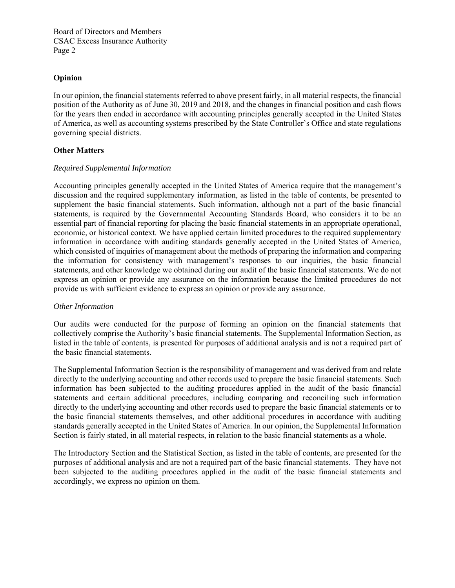Board of Directors and Members CSAC Excess Insurance Authority Page 2

## **Opinion**

In our opinion, the financial statements referred to above present fairly, in all material respects, the financial position of the Authority as of June 30, 2019 and 2018, and the changes in financial position and cash flows for the years then ended in accordance with accounting principles generally accepted in the United States of America, as well as accounting systems prescribed by the State Controller's Office and state regulations governing special districts.

## **Other Matters**

#### *Required Supplemental Information*

Accounting principles generally accepted in the United States of America require that the management's discussion and the required supplementary information, as listed in the table of contents, be presented to supplement the basic financial statements. Such information, although not a part of the basic financial statements, is required by the Governmental Accounting Standards Board, who considers it to be an essential part of financial reporting for placing the basic financial statements in an appropriate operational, economic, or historical context. We have applied certain limited procedures to the required supplementary information in accordance with auditing standards generally accepted in the United States of America, which consisted of inquiries of management about the methods of preparing the information and comparing the information for consistency with management's responses to our inquiries, the basic financial statements, and other knowledge we obtained during our audit of the basic financial statements. We do not express an opinion or provide any assurance on the information because the limited procedures do not provide us with sufficient evidence to express an opinion or provide any assurance.

#### *Other Information*

Our audits were conducted for the purpose of forming an opinion on the financial statements that collectively comprise the Authority's basic financial statements. The Supplemental Information Section, as listed in the table of contents, is presented for purposes of additional analysis and is not a required part of the basic financial statements.

The Supplemental Information Section is the responsibility of management and was derived from and relate directly to the underlying accounting and other records used to prepare the basic financial statements. Such information has been subjected to the auditing procedures applied in the audit of the basic financial statements and certain additional procedures, including comparing and reconciling such information directly to the underlying accounting and other records used to prepare the basic financial statements or to the basic financial statements themselves, and other additional procedures in accordance with auditing standards generally accepted in the United States of America. In our opinion, the Supplemental Information Section is fairly stated, in all material respects, in relation to the basic financial statements as a whole.

The Introductory Section and the Statistical Section, as listed in the table of contents, are presented for the purposes of additional analysis and are not a required part of the basic financial statements. They have not been subjected to the auditing procedures applied in the audit of the basic financial statements and accordingly, we express no opinion on them.